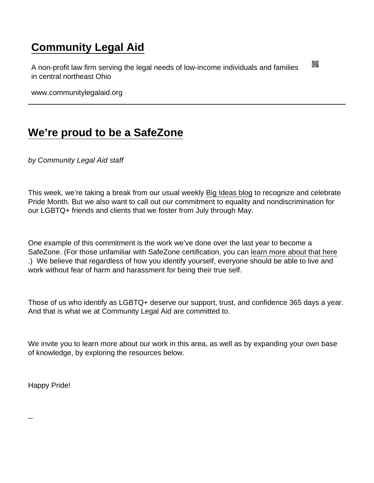## [Community Legal Aid](https://www.communitylegalaid.org/)

A non-profit law firm serving the legal needs of low-income individuals and families in central northeast Ohio

www.communitylegalaid.org

## [We're proud to be a SafeZone](https://www.communitylegalaid.org/node/1749/we’re-proud-be-safezone)

by Community Legal Aid staff

This week, we're taking a break from our usual weekly [Big Ideas blog](http://www.communitylegalaid.org/bigideas) to recognize and celebrate Pride Month. But we also want to call out our commitment to equality and nondiscrimination for our LGBTQ+ friends and clients that we foster from July through May.

One example of this commitment is the work we've done over the last year to become a SafeZone. (For those unfamiliar with SafeZone certification, you can [learn more about that here](https://thesafezoneproject.com/about/what-is-safe-zone/) .) We believe that regardless of how you identify yourself, everyone should be able to live and work without fear of harm and harassment for being their true self.

Those of us who identify as LGBTQ+ deserve our support, trust, and confidence 365 days a year. And that is what we at Community Legal Aid are committed to.

We invite you to learn more about our work in this area, as well as by expanding your own base of knowledge, by exploring the resources below.

Happy Pride!

--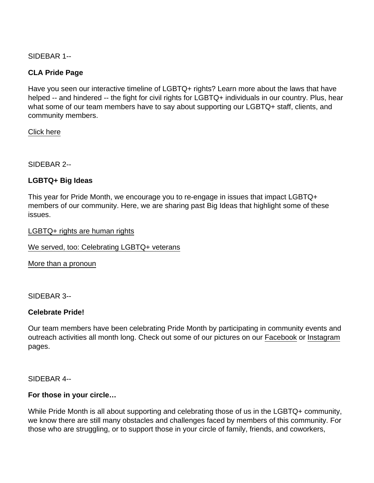SIDEBAR 1--

CLA Pride Page

Have you seen our interactive timeline of LGBTQ+ rights? Learn more about the laws that have helped -- and hindered -- the fight for civil rights for LGBTQ+ individuals in our country. Plus, hear what some of our team members have to say about supporting our LGBTQ+ staff, clients, and community members.

[Click here](https://www.communitylegalaid.org/pride)

SIDEBAR 2--

LGBTQ+ Big Ideas

This year for Pride Month, we encourage you to re-engage in issues that impact LGBTQ+ members of our community. Here, we are sharing past Big Ideas that highlight some of these issues.

[LGBTQ+ rights are human rights](https://www.communitylegalaid.org/node/1519/lgbtq-rights-are-human-rights)

[We served, too: Celebrating LGBTQ+ veterans](https://www.communitylegalaid.org/node/1621/we-served-too-celebrating-lgbtq-veterans)

[More than a pronoun](https://www.communitylegalaid.org/node/1622/more-pronoun)

SIDEBAR 3--

Celebrate Pride!

Our team members have been celebrating Pride Month by participating in community events and outreach activities all month long. Check out some of our pictures on our [Facebook](https://www.facebook.com/) or [Instagram](https://www.instagram.com/commlegalaid/) pages.

SIDEBAR 4--

For those in your circle…

While Pride Month is all about supporting and celebrating those of us in the LGBTQ+ community, we know there are still many obstacles and challenges faced by members of this community. For those who are struggling, or to support those in your circle of family, friends, and coworkers,